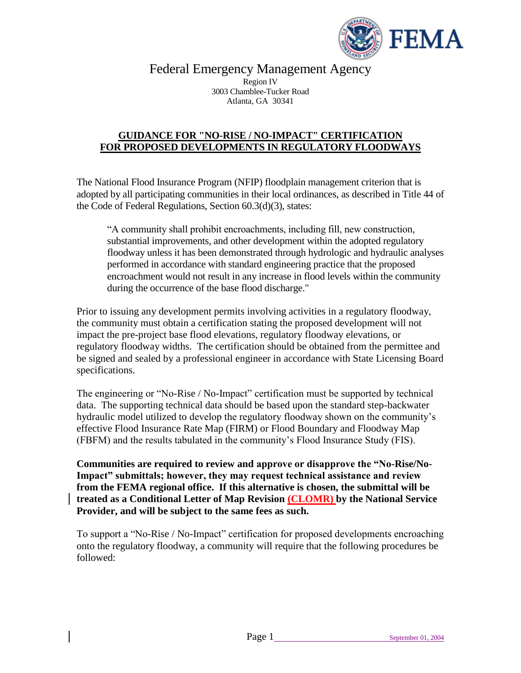

Federal Emergency Management Agency

Region IV 3003 Chamblee-Tucker Road Atlanta, GA 30341

# **GUIDANCE FOR "NO-RISE / NO-IMPACT" CERTIFICATION FOR PROPOSED DEVELOPMENTS IN REGULATORY FLOODWAYS**

The National Flood Insurance Program (NFIP) floodplain management criterion that is adopted by all participating communities in their local ordinances, as described in Title 44 of the Code of Federal Regulations, Section 60.3(d)(3), states:

"A community shall prohibit encroachments, including fill, new construction, substantial improvements, and other development within the adopted regulatory floodway unless it has been demonstrated through hydrologic and hydraulic analyses performed in accordance with standard engineering practice that the proposed encroachment would not result in any increase in flood levels within the community during the occurrence of the base flood discharge."

Prior to issuing any development permits involving activities in a regulatory floodway, the community must obtain a certification stating the proposed development will not impact the pre-project base flood elevations, regulatory floodway elevations, or regulatory floodway widths. The certification should be obtained from the permittee and be signed and sealed by a professional engineer in accordance with State Licensing Board specifications.

The engineering or "No-Rise / No-Impact" certification must be supported by technical data. The supporting technical data should be based upon the standard step-backwater hydraulic model utilized to develop the regulatory floodway shown on the community's effective Flood Insurance Rate Map (FIRM) or Flood Boundary and Floodway Map (FBFM) and the results tabulated in the community's Flood Insurance Study (FIS).

**Communities are required to review and approve or disapprove the "No-Rise/No-Impact" submittals; however, they may request technical assistance and review from the FEMA regional office. If this alternative is chosen, the submittal will be treated as a Conditional Letter of Map Revision (CLOMR) by the National Service Provider, and will be subject to the same fees as such.**

To support a "No-Rise / No-Impact" certification for proposed developments encroaching onto the regulatory floodway, a community will require that the following procedures be followed: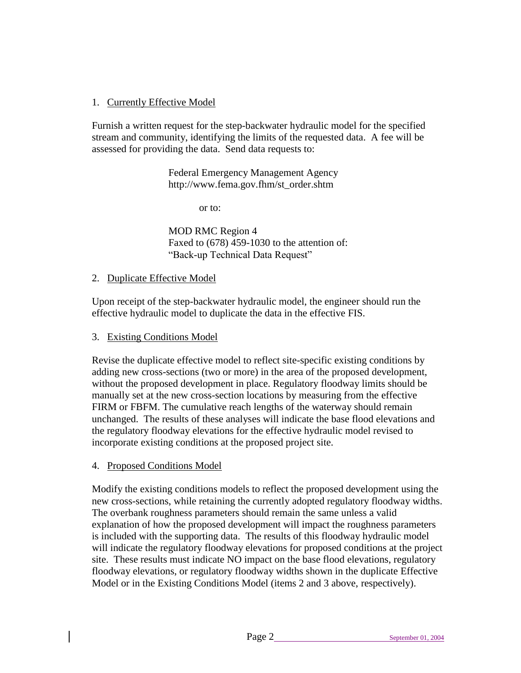# 1. Currently Effective Model

Furnish a written request for the step-backwater hydraulic model for the specified stream and community, identifying the limits of the requested data. A fee will be assessed for providing the data. Send data requests to:

> Federal Emergency Management Agency http://www.fema.gov.fhm/st\_order.shtm

> > or to:

MOD RMC Region 4 Faxed to (678) 459-1030 to the attention of: "Back-up Technical Data Request"

#### 2. Duplicate Effective Model

Upon receipt of the step-backwater hydraulic model, the engineer should run the effective hydraulic model to duplicate the data in the effective FIS.

#### 3. Existing Conditions Model

Revise the duplicate effective model to reflect site-specific existing conditions by adding new cross-sections (two or more) in the area of the proposed development, without the proposed development in place. Regulatory floodway limits should be manually set at the new cross-section locations by measuring from the effective FIRM or FBFM. The cumulative reach lengths of the waterway should remain unchanged. The results of these analyses will indicate the base flood elevations and the regulatory floodway elevations for the effective hydraulic model revised to incorporate existing conditions at the proposed project site.

## 4. Proposed Conditions Model

Modify the existing conditions models to reflect the proposed development using the new cross-sections, while retaining the currently adopted regulatory floodway widths. The overbank roughness parameters should remain the same unless a valid explanation of how the proposed development will impact the roughness parameters is included with the supporting data. The results of this floodway hydraulic model will indicate the regulatory floodway elevations for proposed conditions at the project site. These results must indicate NO impact on the base flood elevations, regulatory floodway elevations, or regulatory floodway widths shown in the duplicate Effective Model or in the Existing Conditions Model (items 2 and 3 above, respectively).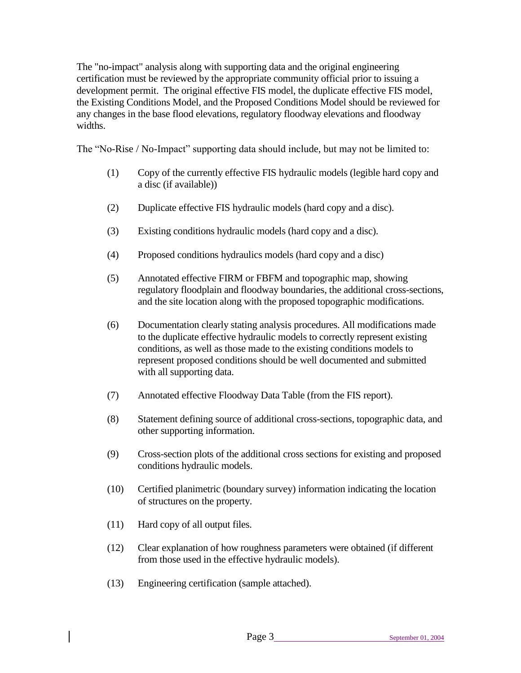The "no-impact" analysis along with supporting data and the original engineering certification must be reviewed by the appropriate community official prior to issuing a development permit. The original effective FIS model, the duplicate effective FIS model, the Existing Conditions Model, and the Proposed Conditions Model should be reviewed for any changes in the base flood elevations, regulatory floodway elevations and floodway widths.

The "No-Rise / No-Impact" supporting data should include, but may not be limited to:

- (1) Copy of the currently effective FIS hydraulic models (legible hard copy and a disc (if available))
- (2) Duplicate effective FIS hydraulic models (hard copy and a disc).
- (3) Existing conditions hydraulic models (hard copy and a disc).
- (4) Proposed conditions hydraulics models (hard copy and a disc)
- (5) Annotated effective FIRM or FBFM and topographic map, showing regulatory floodplain and floodway boundaries, the additional cross-sections, and the site location along with the proposed topographic modifications.
- (6) Documentation clearly stating analysis procedures. All modifications made to the duplicate effective hydraulic models to correctly represent existing conditions, as well as those made to the existing conditions models to represent proposed conditions should be well documented and submitted with all supporting data.
- (7) Annotated effective Floodway Data Table (from the FIS report).
- (8) Statement defining source of additional cross-sections, topographic data, and other supporting information.
- (9) Cross-section plots of the additional cross sections for existing and proposed conditions hydraulic models.
- (10) Certified planimetric (boundary survey) information indicating the location of structures on the property.
- (11) Hard copy of all output files.
- (12) Clear explanation of how roughness parameters were obtained (if different from those used in the effective hydraulic models).
- (13) Engineering certification (sample attached).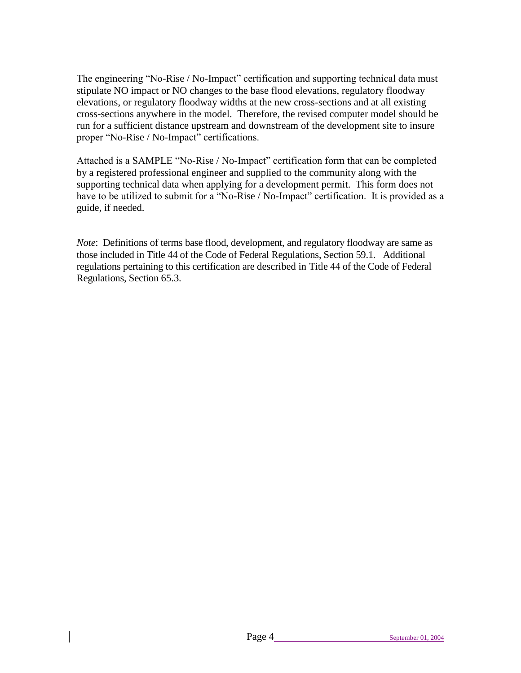The engineering "No-Rise / No-Impact" certification and supporting technical data must stipulate NO impact or NO changes to the base flood elevations, regulatory floodway elevations, or regulatory floodway widths at the new cross-sections and at all existing cross-sections anywhere in the model. Therefore, the revised computer model should be run for a sufficient distance upstream and downstream of the development site to insure proper "No-Rise / No-Impact" certifications.

Attached is a SAMPLE "No-Rise / No-Impact" certification form that can be completed by a registered professional engineer and supplied to the community along with the supporting technical data when applying for a development permit. This form does not have to be utilized to submit for a "No-Rise / No-Impact" certification. It is provided as a guide, if needed.

*Note*: Definitions of terms base flood, development, and regulatory floodway are same as those included in Title 44 of the Code of Federal Regulations, Section 59.1. Additional regulations pertaining to this certification are described in Title 44 of the Code of Federal Regulations, Section 65.3.